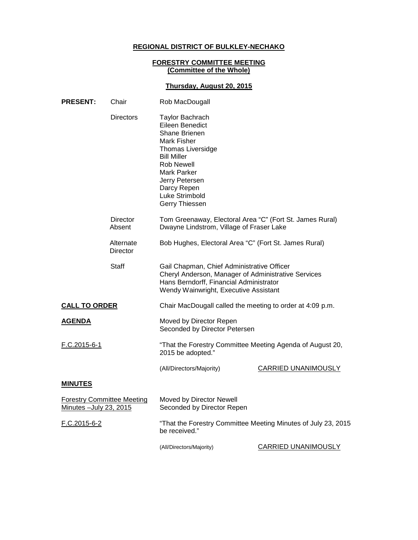# **REGIONAL DISTRICT OF BULKLEY-NECHAKO**

### **FORESTRY COMMITTEE MEETING (Committee of the Whole)**

## **Thursday, August 20, 2015**

| <b>PRESENT:</b>                                              | Chair                 | Rob MacDougall                                                                                                                                                                                                                |                     |
|--------------------------------------------------------------|-----------------------|-------------------------------------------------------------------------------------------------------------------------------------------------------------------------------------------------------------------------------|---------------------|
|                                                              | <b>Directors</b>      | Taylor Bachrach<br>Eileen Benedict<br><b>Shane Brienen</b><br>Mark Fisher<br>Thomas Liversidge<br><b>Bill Miller</b><br><b>Rob Newell</b><br>Mark Parker<br>Jerry Petersen<br>Darcy Repen<br>Luke Strimbold<br>Gerry Thiessen |                     |
|                                                              | Director<br>Absent    | Tom Greenaway, Electoral Area "C" (Fort St. James Rural)<br>Dwayne Lindstrom, Village of Fraser Lake                                                                                                                          |                     |
|                                                              | Alternate<br>Director | Bob Hughes, Electoral Area "C" (Fort St. James Rural)                                                                                                                                                                         |                     |
|                                                              | <b>Staff</b>          | Gail Chapman, Chief Administrative Officer<br>Cheryl Anderson, Manager of Administrative Services<br>Hans Berndorff, Financial Administrator<br>Wendy Wainwright, Executive Assistant                                         |                     |
| <b>CALL TO ORDER</b>                                         |                       | Chair MacDougall called the meeting to order at 4:09 p.m.                                                                                                                                                                     |                     |
| <b>AGENDA</b>                                                |                       | Moved by Director Repen<br>Seconded by Director Petersen                                                                                                                                                                      |                     |
| F.C.2015-6-1                                                 |                       | "That the Forestry Committee Meeting Agenda of August 20,<br>2015 be adopted."                                                                                                                                                |                     |
|                                                              |                       | (All/Directors/Majority)                                                                                                                                                                                                      | CARRIED UNANIMOUSLY |
| <b>MINUTES</b>                                               |                       |                                                                                                                                                                                                                               |                     |
| <b>Forestry Committee Meeting</b><br>Minutes - July 23, 2015 |                       | Moved by Director Newell<br>Seconded by Director Repen                                                                                                                                                                        |                     |
| <u>F.C.2015-6-2</u>                                          |                       | "That the Forestry Committee Meeting Minutes of July 23, 2015<br>be received."                                                                                                                                                |                     |
|                                                              |                       | (All/Directors/Majority)                                                                                                                                                                                                      | CARRIED UNANIMOUSLY |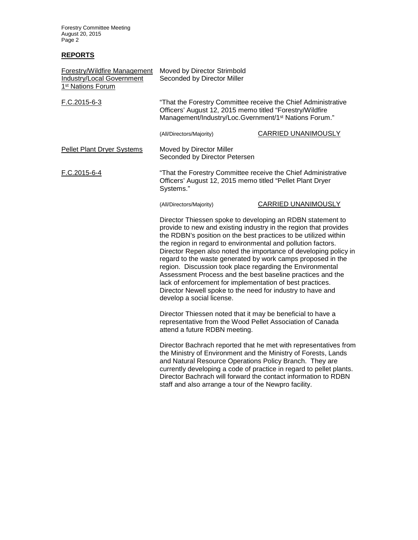Forestry Committee Meeting August 20, 2015 Page 2

# **REPORTS**

| Forestry/Wildfire Management<br><b>Industry/Local Government</b><br>1 <sup>st</sup> Nations Forum | Moved by Director Strimbold<br>Seconded by Director Miller                                                                                                                                                                                                                                                                                                                                                                                                                                                                                                                                                                                                                              |                                                                                                                                         |  |
|---------------------------------------------------------------------------------------------------|-----------------------------------------------------------------------------------------------------------------------------------------------------------------------------------------------------------------------------------------------------------------------------------------------------------------------------------------------------------------------------------------------------------------------------------------------------------------------------------------------------------------------------------------------------------------------------------------------------------------------------------------------------------------------------------------|-----------------------------------------------------------------------------------------------------------------------------------------|--|
| F.C.2015-6-3                                                                                      | "That the Forestry Committee receive the Chief Administrative<br>Officers' August 12, 2015 memo titled "Forestry/Wildfire<br>Management/Industry/Loc.Gvernment/1 <sup>st</sup> Nations Forum."                                                                                                                                                                                                                                                                                                                                                                                                                                                                                          |                                                                                                                                         |  |
|                                                                                                   | (All/Directors/Majority)                                                                                                                                                                                                                                                                                                                                                                                                                                                                                                                                                                                                                                                                | <b>CARRIED UNANIMOUSLY</b>                                                                                                              |  |
| <b>Pellet Plant Dryer Systems</b>                                                                 | Moved by Director Miller<br>Seconded by Director Petersen                                                                                                                                                                                                                                                                                                                                                                                                                                                                                                                                                                                                                               |                                                                                                                                         |  |
| F.C.2015-6-4<br>Officers' August 12, 2015 memo titled "Pellet Plant Dryer<br>Systems."            |                                                                                                                                                                                                                                                                                                                                                                                                                                                                                                                                                                                                                                                                                         | "That the Forestry Committee receive the Chief Administrative                                                                           |  |
|                                                                                                   | (All/Directors/Majority)                                                                                                                                                                                                                                                                                                                                                                                                                                                                                                                                                                                                                                                                | CARRIED UNANIMOUSLY                                                                                                                     |  |
|                                                                                                   | Director Thiessen spoke to developing an RDBN statement to<br>provide to new and existing industry in the region that provides<br>the RDBN's position on the best practices to be utilized within<br>the region in regard to environmental and pollution factors.<br>Director Repen also noted the importance of developing policy in<br>regard to the waste generated by work camps proposed in the<br>region. Discussion took place regarding the Environmental<br>Assessment Process and the best baseline practices and the<br>lack of enforcement for implementation of best practices.<br>Director Newell spoke to the need for industry to have and<br>develop a social license. |                                                                                                                                         |  |
|                                                                                                   | Director Thiessen noted that it may be beneficial to have a<br>representative from the Wood Pellet Association of Canada<br>attend a future RDBN meeting.                                                                                                                                                                                                                                                                                                                                                                                                                                                                                                                               |                                                                                                                                         |  |
|                                                                                                   | the Ministry of Environment and the Ministry of Forests, Lands<br>and Natural Resource Operations Policy Branch. They are<br>Director Bachrach will forward the contact information to RDBN<br>staff and also arrange a tour of the Newpro facility.                                                                                                                                                                                                                                                                                                                                                                                                                                    | Director Bachrach reported that he met with representatives from<br>currently developing a code of practice in regard to pellet plants. |  |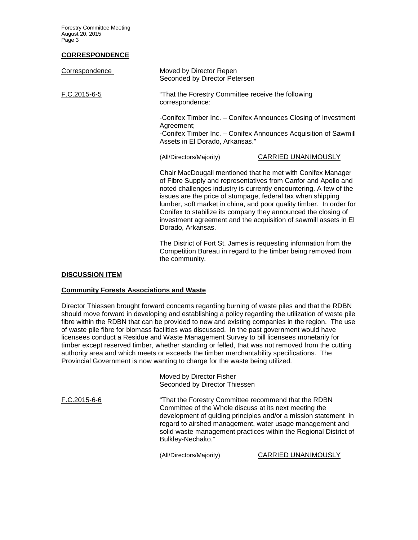Forestry Committee Meeting August 20, 2015 Page 3

### **CORRESPONDENCE**

| Correspondence | Moved by Director Repen<br>Seconded by Director Petersen              |                                                                                                                                                                                                                                                                                                                                                                                                                                                                                |  |
|----------------|-----------------------------------------------------------------------|--------------------------------------------------------------------------------------------------------------------------------------------------------------------------------------------------------------------------------------------------------------------------------------------------------------------------------------------------------------------------------------------------------------------------------------------------------------------------------|--|
| F.C.2015-6-5   | "That the Forestry Committee receive the following<br>correspondence: |                                                                                                                                                                                                                                                                                                                                                                                                                                                                                |  |
|                | Agreement;                                                            | -Conifex Timber Inc. - Conifex Announces Closing of Investment<br>-Conifex Timber Inc. - Conifex Announces Acquisition of Sawmill<br>Assets in El Dorado, Arkansas."                                                                                                                                                                                                                                                                                                           |  |
|                | (All/Directors/Majority)                                              | CARRIED UNANIMOUSLY                                                                                                                                                                                                                                                                                                                                                                                                                                                            |  |
|                | Dorado, Arkansas.                                                     | Chair MacDougall mentioned that he met with Conifex Manager<br>of Fibre Supply and representatives from Canfor and Apollo and<br>noted challenges industry is currently encountering. A few of the<br>issues are the price of stumpage, federal tax when shipping<br>lumber, soft market in china, and poor quality timber. In order for<br>Conifex to stabilize its company they announced the closing of<br>investment agreement and the acquisition of sawmill assets in El |  |
|                |                                                                       | The District of Fort St. James is requesting information from the<br>Competition Bureau in regard to the timber being removed from                                                                                                                                                                                                                                                                                                                                             |  |

#### **DISCUSSION ITEM**

#### **Community Forests Associations and Waste**

Director Thiessen brought forward concerns regarding burning of waste piles and that the RDBN should move forward in developing and establishing a policy regarding the utilization of waste pile fibre within the RDBN that can be provided to new and existing companies in the region. The use of waste pile fibre for biomass facilities was discussed. In the past government would have licensees conduct a Residue and Waste Management Survey to bill licensees monetarily for timber except reserved timber, whether standing or felled, that was not removed from the cutting authority area and which meets or exceeds the timber merchantability specifications. The Provincial Government is now wanting to charge for the waste being utilized.

the community.

Moved by Director Fisher Seconded by Director Thiessen

F.C.2015-6-6 "That the Forestry Committee recommend that the RDBN Committee of the Whole discuss at its next meeting the development of guiding principles and/or a mission statement in regard to airshed management, water usage management and solid waste management practices within the Regional District of Bulkley-Nechako."

(All/Directors/Majority) CARRIED UNANIMOUSLY